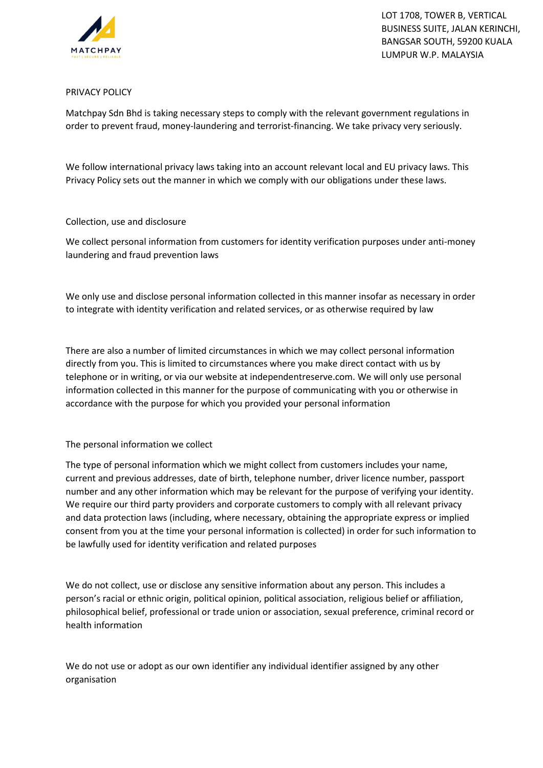

LOT 1708, TOWER B, VERTICAL BUSINESS SUITE, JALAN KERINCHI, BANGSAR SOUTH, 59200 KUALA LUMPUR W.P. MALAYSIA

# PRIVACY POLICY

Matchpay Sdn Bhd is taking necessary steps to comply with the relevant government regulations in order to prevent fraud, money-laundering and terrorist-financing. We take privacy very seriously.

We follow international privacy laws taking into an account relevant local and EU privacy laws. This Privacy Policy sets out the manner in which we comply with our obligations under these laws.

# Collection, use and disclosure

We collect personal information from customers for identity verification purposes under anti-money laundering and fraud prevention laws

We only use and disclose personal information collected in this manner insofar as necessary in order to integrate with identity verification and related services, or as otherwise required by law

There are also a number of limited circumstances in which we may collect personal information directly from you. This is limited to circumstances where you make direct contact with us by telephone or in writing, or via our website at independentreserve.com. We will only use personal information collected in this manner for the purpose of communicating with you or otherwise in accordance with the purpose for which you provided your personal information

#### The personal information we collect

The type of personal information which we might collect from customers includes your name, current and previous addresses, date of birth, telephone number, driver licence number, passport number and any other information which may be relevant for the purpose of verifying your identity. We require our third party providers and corporate customers to comply with all relevant privacy and data protection laws (including, where necessary, obtaining the appropriate express or implied consent from you at the time your personal information is collected) in order for such information to be lawfully used for identity verification and related purposes

We do not collect, use or disclose any sensitive information about any person. This includes a person's racial or ethnic origin, political opinion, political association, religious belief or affiliation, philosophical belief, professional or trade union or association, sexual preference, criminal record or health information

We do not use or adopt as our own identifier any individual identifier assigned by any other organisation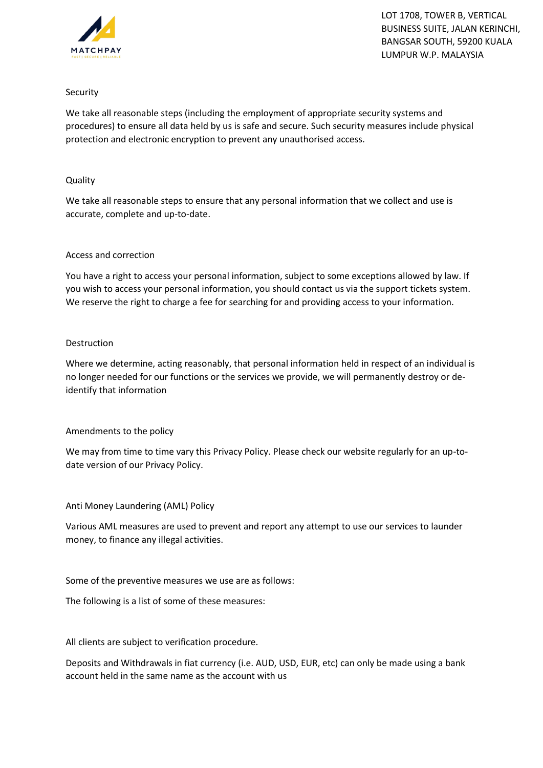

LOT 1708, TOWER B, VERTICAL BUSINESS SUITE, JALAN KERINCHI, BANGSAR SOUTH, 59200 KUALA LUMPUR W.P. MALAYSIA

# Security

We take all reasonable steps (including the employment of appropriate security systems and procedures) to ensure all data held by us is safe and secure. Such security measures include physical protection and electronic encryption to prevent any unauthorised access.

# Quality

We take all reasonable steps to ensure that any personal information that we collect and use is accurate, complete and up-to-date.

# Access and correction

You have a right to access your personal information, subject to some exceptions allowed by law. If you wish to access your personal information, you should contact us via the support tickets system. We reserve the right to charge a fee for searching for and providing access to your information.

# Destruction

Where we determine, acting reasonably, that personal information held in respect of an individual is no longer needed for our functions or the services we provide, we will permanently destroy or deidentify that information

# Amendments to the policy

We may from time to time vary this Privacy Policy. Please check our website regularly for an up-todate version of our Privacy Policy.

Anti Money Laundering (AML) Policy

Various AML measures are used to prevent and report any attempt to use our services to launder money, to finance any illegal activities.

Some of the preventive measures we use are as follows:

The following is a list of some of these measures:

All clients are subject to verification procedure.

Deposits and Withdrawals in fiat currency (i.e. AUD, USD, EUR, etc) can only be made using a bank account held in the same name as the account with us